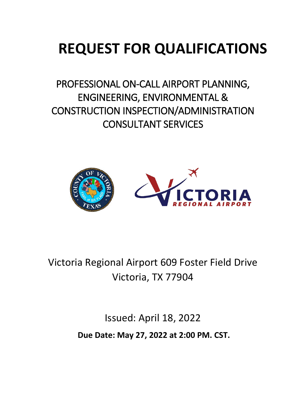# **REQUEST FOR QUALIFICATIONS**

PROFESSIONAL ON-CALL AIRPORT PLANNING, ENGINEERING, ENVIRONMENTAL & CONSTRUCTION INSPECTION/ADMINISTRATION CONSULTANT SERVICES



Victoria Regional Airport 609 Foster Field Drive Victoria, TX 77904

> Issued: April 18, 2022 **Due Date: May 27, 2022 at 2:00 PM. CST.**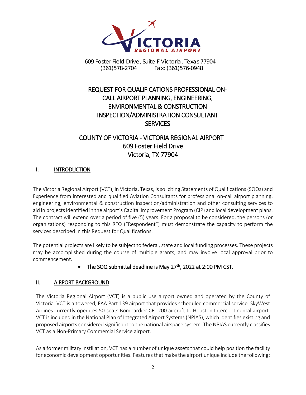

# REQUEST FOR QUALIFICATIONS PROFESSIONAL ON-CALL AIRPORT PLANNING, ENGINEERING, ENVIRONMENTAL & CONSTRUCTION INSPECTION/ADMINISTRATION CONSULTANT **SERVICES**

# COUNTY OF VICTORIA - VICTORIA REGIONAL AIRPORT 609 Foster Field Drive Victoria, TX 77904

## I. INTRODUCTION

The Victoria Regional Airport (VCT), in Victoria, Texas, is soliciting Statements of Qualifications (SOQs) and Experience from interested and qualified Aviation Consultants for professional on-call airport planning, engineering, environmental & construction inspection/administration and other consulting services to aid in projects identified in the airport's Capital Improvement Program (CIP) and local development plans. The contract will extend over a period of five (5) years. For a proposal to be considered, the persons (or organizations) responding to this RFQ ("Respondent") must demonstrate the capacity to perform the services described in this Request for Qualifications.

The potential projects are likely to be subject to federal, state and local funding processes. These projects may be accomplished during the course of multiple grants, and may involve local approval prior to commencement.

# The SOQ submittal deadline is May  $27<sup>th</sup>$ , 2022 at 2:00 PM CST.

# II. AIRPORT BACKGROUND

The Victoria Regional Airport (VCT) is a public use airport owned and operated by the County of Victoria. VCT is a towered, FAA Part 139 airport that provides scheduled commercial service. SkyWest Airlines currently operates 50-seats Bombardier CRJ 200 aircraft to Houston Intercontinental airport. VCT is included in the National Plan of Integrated Airport Systems (NPIAS), which identifies existing and proposed airports considered significant to the national airspace system. The NPIAS currently classifies VCT as a Non-Primary Commercial Service airport.

As a former military instillation, VCT has a number of unique assets that could help position the facility for economic development opportunities. Features that make the airport unique include the following: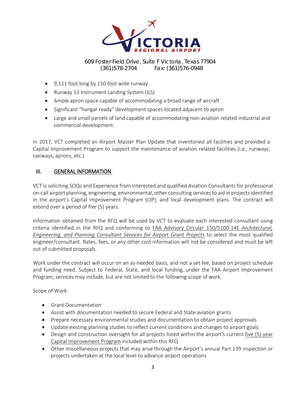

- 9,111 foot long by 150 foot wide runway
- Runway 13 Instrument Landing System (ILS)
- Ample apron space capable of accommodating a broad range of aircraft
- Significant "hangar ready" development spaces located adjacent to apron
- Large and small parcels of land capable of accommodating non-aviation related industrial and commercial development.

In 2017, VCT completed an Airport Master Plan Update that inventoried all facilities and provided a Capital Improvement Program to support the maintenance of aviation related facilities (i.e., runways, taxiways, aprons, etc.)

### III. GENERAL INFORMATION

VCT is soliciting SOQs and Experience from interested and qualified Aviation Consultants for professional on-call airport planning, engineering, environmental, other consulting services to aid in projects identified in the airport's Capital Improvement Program (CIP), and local development plans. The contract will extend over a period of five (5) years.

Information obtained from the RFQ will be used by VCT to evaluate each interested consultant using criteria identified in the RFQ and conforming to FAA Advisory Circular 150/5100-14E *Architectural, Engineering, and Planning Consultant Services for Airport Grant Projects* to select the most qualified engineer/consultant. Rates, fees, or any other cost information will not be considered and must be left out of submitted proposals.

Work under the contract will occur on an as-needed basis, and not a set fee, based on project schedule and funding need. Subject to Federal, State, and local funding, under the FAA Airport Improvement Program, services may include, but are not limited to the following scope of work.

Scope of Work:

- Grant Documentation
- Assist with documentation needed to secure Federal and State aviation grants
- Prepare necessary environmental studies and documentation to obtain project approvals
- Update existing planning studies to reflect current conditions and changes to airport goals
- Design and construction oversight for all projects listed within the airport's current five (5) year Capital Improvement Program included within this RFQ
- Other miscellaneous projects that may arise through the Airport's annual Part 139 inspection or projects undertaken at the local level to advance airport operations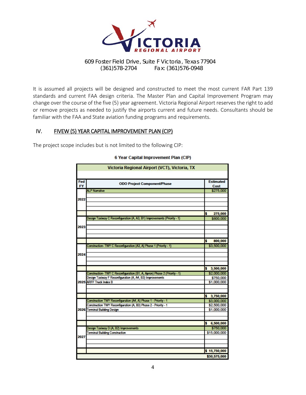

It is assumed all projects will be designed and constructed to meet the most current FAR Part 139 standards and current FAA design criteria. The Master Plan and Capital Improvement Program may change over the course of the five (5) year agreement. Victoria Regional Airport reserves the right to add or remove projects as needed to justify the airports current and future needs. Consultants should be familiar with the FAA and State aviation funding programs and requirements.

### IV. FIVEW (5) YEAR CAPITAL IMPROVEMENT PLAN (CIP)

The project scope includes but is not limited to the following CIP:

| Victoria Regional Airport (VCT), Victoria, TX |                                                                                                                                        |                          |  |  |  |
|-----------------------------------------------|----------------------------------------------------------------------------------------------------------------------------------------|--------------------------|--|--|--|
|                                               |                                                                                                                                        |                          |  |  |  |
| Fed<br><b>FY</b>                              | <b>ODO Project Component/Phase</b>                                                                                                     | <b>Estimated</b><br>Cost |  |  |  |
|                                               | <b>ALP Narrative</b>                                                                                                                   | \$275,000                |  |  |  |
| 2022                                          |                                                                                                                                        |                          |  |  |  |
|                                               |                                                                                                                                        |                          |  |  |  |
|                                               |                                                                                                                                        |                          |  |  |  |
|                                               |                                                                                                                                        |                          |  |  |  |
|                                               |                                                                                                                                        | \$<br>275,000            |  |  |  |
|                                               | Design Taxiway C Reconfiguration (A, A3, B1) Improvements (Priority - 1)                                                               | \$800,000                |  |  |  |
|                                               |                                                                                                                                        |                          |  |  |  |
| 2023                                          |                                                                                                                                        |                          |  |  |  |
|                                               |                                                                                                                                        |                          |  |  |  |
|                                               |                                                                                                                                        | \$<br>800,000            |  |  |  |
|                                               | Construction- TWY C Reconfiguration (A3, A) Phase 1 (Priority - 1)                                                                     | \$3,500,000              |  |  |  |
|                                               |                                                                                                                                        |                          |  |  |  |
| 2024                                          |                                                                                                                                        |                          |  |  |  |
|                                               |                                                                                                                                        |                          |  |  |  |
|                                               |                                                                                                                                        |                          |  |  |  |
|                                               |                                                                                                                                        | \$3,500,000              |  |  |  |
|                                               | Construction- TWY C Reconfiguration (B1, A, Apron) Phase 2 (Priority - 1)<br>Design Taxiway F Reconfiguration (A, A4, B3) Improvements | \$2,000,000              |  |  |  |
|                                               | 2025 ARFF Truck Index B                                                                                                                | \$750,000<br>\$1,000,000 |  |  |  |
|                                               |                                                                                                                                        |                          |  |  |  |
|                                               |                                                                                                                                        |                          |  |  |  |
|                                               |                                                                                                                                        | \$3,750,000              |  |  |  |
|                                               | Construction TWY Reconfiguration (A4, A) Phase 1 - Priority - 1                                                                        | \$3,000,000              |  |  |  |
|                                               | Construction TWY Reconfiguration (A, B3) Phase 2 - Priority - 1                                                                        | \$2,500,000              |  |  |  |
|                                               | 2026 Terminal Building Design                                                                                                          | \$1,000,000              |  |  |  |
|                                               |                                                                                                                                        |                          |  |  |  |
|                                               |                                                                                                                                        | 6,500,000<br>\$          |  |  |  |
| 2027                                          | Design Taxiway D (A, B2) Improvements                                                                                                  | \$750,000                |  |  |  |
|                                               | <b>Terminal Building Construction</b>                                                                                                  | \$15,000,000             |  |  |  |
|                                               |                                                                                                                                        |                          |  |  |  |
|                                               |                                                                                                                                        |                          |  |  |  |
|                                               |                                                                                                                                        |                          |  |  |  |
|                                               |                                                                                                                                        | \$15,750,000             |  |  |  |
|                                               | \$30,575,000                                                                                                                           |                          |  |  |  |

#### 6 Year Capital Improvement Plan (CIP)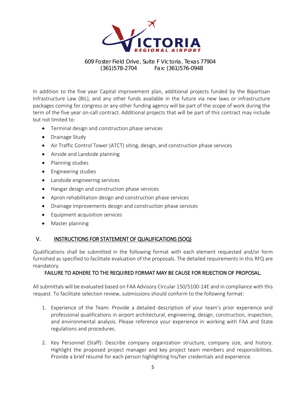

In addition to the five year Capital improvement plan, additional projects funded by the Bipartisan Infrastructure Law (BIL), and any other funds available in the future via new laws or infrastructure packages coming for congress or any other funding agency will be part of the scope of work during the term of the five year on-call contract. Additional projects that will be part of this contract may include but not limited to:

- Terminal design and construction phase services
- Drainage Study
- Air Traffic Control Tower (ATCT) siting, design, and construction phase services
- Airside and Landside planning
- Planning studies
- Engineering studies
- Landside engineering services
- Hangar design and construction phase services
- Apron rehabilitation design and construction phase services
- Drainage improvements design and construction phase services
- Equipment acquisition services
- Master planning

### V. INSTRUCTIONS FOR STATEMENT OF QUALIFICATIONS (SOQ)

Qualifications shall be submitted in the following format with each element requested and/or form furnished as specified to facilitate evaluation of the proposals. The detailed requirements in this RFQ are mandatory.

#### FAILURE TO ADHERE TO THE REQUIRED FORMAT MAY BE CAUSE FOR REJECTION OF PROPOSAL.

All submittals will be evaluated based on FAA Advisory Circular 150/5100-14E and in compliance with this request. To facilitate selection review, submissions should conform to the following format:

- 1. Experience of the Team: Provide a detailed description of your team's prior experience and professional qualifications in airport architectural, engineering, design, construction, inspection, and environmental analysis. Please reference your experience in working with FAA and State regulations and procedures.
- 2. Key Personnel (Staff): Describe company organization structure, company size, and history. Highlight the proposed project manager and key project team members and responsibilities. Provide a brief résumé for each person highlighting his/her credentials and experience.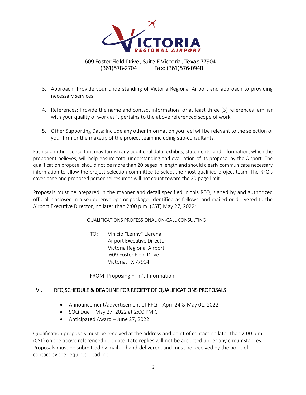

- 3. Approach: Provide your understanding of Victoria Regional Airport and approach to providing necessary services.
- 4. References: Provide the name and contact information for at least three (3) references familiar with your quality of work as it pertains to the above referenced scope of work.
- 5. Other Supporting Data: Include any other information you feel will be relevant to the selection of your firm or the makeup of the project team including sub-consultants.

Each submitting consultant may furnish any additional data, exhibits, statements, and information, which the proponent believes, will help ensure total understanding and evaluation of its proposal by the Airport. The qualification proposal should not be more than 20 pages in length and should clearly communicate necessary information to allow the project selection committee to select the most qualified project team. The RFQ's cover page and proposed personnel resumes will not count toward the 20-page limit.

Proposals must be prepared in the manner and detail specified in this RFQ, signed by and authorized official, enclosed in a sealed envelope or package, identified as follows, and mailed or delivered to the Airport Executive Director, no later than 2:00 p.m. (CST) May 27, 2022:

QUALIFICATIONS PROFESSIONAL ON-CALL CONSULTING

TO: Vinicio "Lenny" Llerena Airport Executive Director Victoria Regional Airport 609 Foster Field Drive Victoria, TX 77904

FROM: Proposing Firm's Information

# VI. RFQ SCHEDULE & DEADLINE FOR RECIEPT OF QUALIFICATIONS PROPOSALS

- Announcement/advertisement of RFQ April 24 & May 01, 2022
- SOQ Due May 27, 2022 at 2:00 PM CT
- Anticipated Award June 27, 2022

Qualification proposals must be received at the address and point of contact no later than 2:00 p.m. (CST) on the above referenced due date. Late replies will not be accepted under any circumstances. Proposals must be submitted by mail or hand-delivered, and must be received by the point of contact by the required deadline.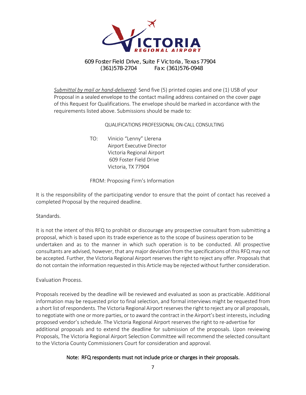

*Submittal by mail or hand-delivered*: Send five (5) printed copies and one (1) USB of your Proposal in a sealed envelope to the contact mailing address contained on the cover page of this Request for Qualifications. The envelope should be marked in accordance with the requirements listed above. Submissions should be made to:

#### QUALIFICATIONS PROFESSIONAL ON-CALL CONSULTING

TO: Vinicio "Lenny" Llerena Airport Executive Director Victoria Regional Airport 609 Foster Field Drive Victoria, TX 77904

#### FROM: Proposing Firm's Information

It is the responsibility of the participating vendor to ensure that the point of contact has received a completed Proposal by the required deadline.

#### Standards.

It is not the intent of this RFQ to prohibit or discourage any prospective consultant from submitting a proposal, which is based upon its trade experience as to the scope of business operation to be undertaken and as to the manner in which such operation is to be conducted. All prospective consultants are advised, however, that any major deviation from the specifications of this RFQ may not be accepted. Further, the Victoria Regional Airport reserves the right to reject any offer. Proposals that do not contain the information requested in this Article may be rejected without further consideration.

#### Evaluation Process.

Proposals received by the deadline will be reviewed and evaluated as soon as practicable. Additional information may be requested prior to final selection, and formal interviews might be requested from a short list of respondents. The Victoria Regional Airport reserves the right to reject any or all proposals, to negotiate with one or more parties, or to award the contract in the Airport's best interests, including proposed vendor's schedule. The Victoria Regional Airport reserves the right to re-advertise for additional proposals and to extend the deadline for submission of the proposals. Upon reviewing Proposals, The Victoria Regional Airport Selection Committee will recommend the selected consultant to the Victoria County Commissioners Court for consideration and approval.

### Note: RFQ respondents must not include price or charges in their proposals.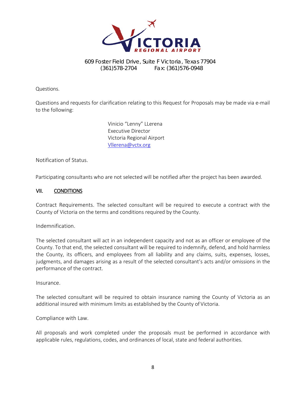

Questions.

Questions and requests for clarification relating to this Request for Proposals may be made via e-mail to the following:

> Vinicio "Lenny" LLerena Executive Director Victoria Regional Airport [Vllerena@vctx.org](mailto:Vllerena@vctx.org)

Notification of Status.

Participating consultants who are not selected will be notified after the project has been awarded.

#### VII. CONDITIONS

Contract Requirements. The selected consultant will be required to execute a contract with the County of Victoria on the terms and conditions required by the County.

Indemnification.

The selected consultant will act in an independent capacity and not as an officer or employee of the County. To that end, the selected consultant will be required to indemnify, defend, and hold harmless the County, its officers, and employees from all liability and any claims, suits, expenses, losses, judgments, and damages arising as a result of the selected consultant's acts and/or omissions in the performance of the contract.

Insurance.

The selected consultant will be required to obtain insurance naming the County of Victoria as an additional insured with minimum limits as established by the County of Victoria.

Compliance with Law.

All proposals and work completed under the proposals must be performed in accordance with applicable rules, regulations, codes, and ordinances of local, state and federal authorities.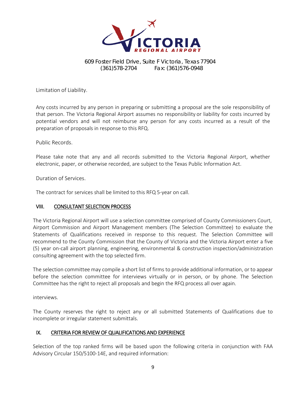

Limitation of Liability.

Any costs incurred by any person in preparing or submitting a proposal are the sole responsibility of that person. The Victoria Regional Airport assumes no responsibility or liability for costs incurred by potential vendors and will not reimburse any person for any costs incurred as a result of the preparation of proposals in response to this RFQ.

Public Records.

Please take note that any and all records submitted to the Victoria Regional Airport, whether electronic, paper, or otherwise recorded, are subject to the Texas Public Information Act.

Duration of Services.

The contract for services shall be limited to this RFQ 5-year on call.

#### VIII. CONSULTANT SELECTION PROCESS

The Victoria Regional Airport will use a selection committee comprised of County Commissioners Court, Airport Commission and Airport Management members (The Selection Committee) to evaluate the Statements of Qualifications received in response to this request. The Selection Committee will recommend to the County Commission that the County of Victoria and the Victoria Airport enter a five (5) year on-call airport planning, engineering, environmental & construction inspection/administration consulting agreement with the top selected firm.

The selection committee may compile a short list of firms to provide additional information, or to appear before the selection committee for interviews virtually or in person, or by phone. The Selection Committee has the right to reject all proposals and begin the RFQ process all over again.

interviews.

The County reserves the right to reject any or all submitted Statements of Qualifications due to incomplete or irregular statement submittals.

#### IX. CRITERIA FOR REVIEW OF QUALIFICATIONS AND EXPERIENCE

Selection of the top ranked firms will be based upon the following criteria in conjunction with FAA Advisory Circular 150/5100-14E, and required information: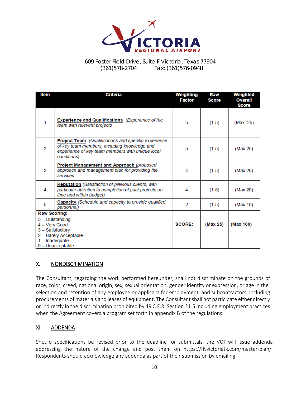

| Item                            | <b>Criteria</b>                                                                                                                                                         | Weighting<br><b>Factor</b> | Raw<br><b>Score</b> | Weighted<br><b>Overall</b><br><b>Score</b> |
|---------------------------------|-------------------------------------------------------------------------------------------------------------------------------------------------------------------------|----------------------------|---------------------|--------------------------------------------|
| 1                               | <b>Experience and Qualifications</b> (Experience of the<br>team with relevant projects                                                                                  | 5                          | $(1-5)$             | (Max 25)                                   |
| 2                               | Project Team (Qualifications and specific experience<br>of key team members, including knowledge and<br>experience of key team members with unique local<br>conditions) | 5                          | $(1-5)$             | (Max 25)                                   |
| 3                               | <b>Project Management and Approach (proposed)</b><br>approach and management plan for providing the<br>services                                                         | 4                          | $(1-5)$             | (Max 20)                                   |
| 4                               | <b>Reputation</b> (Satisfaction of previous clients, with<br>particular attention to completion of past projects on<br>time and within budget)                          | 4                          | $(1-5)$             | (Max 20)                                   |
| 5                               | Capacity (Schedule and capacity to provide qualified<br>personnel)                                                                                                      | 2                          | $(1-5)$             | (Max 10)                                   |
| <b>Raw Scoring:</b>             |                                                                                                                                                                         |                            |                     |                                            |
| 4 - Very Good<br>1 - Inadequate | 5 - Outstanding<br>3 - Satisfactory<br>2 - Barely Acceptable                                                                                                            | <b>SCORE:</b>              | (Max 25)            | (Max 100)                                  |
| $0$ - Unacceptable              |                                                                                                                                                                         |                            |                     |                                            |

### X. NONDISCRIMINATION

The Consultant, regarding the work performed hereunder, shall not discriminate on the grounds of race, color, creed, national origin, sex, sexual orientation, gender identity or expression, or age in the selection and retention of any employee or applicant for employment, and subcontractors, including procurements of materials and leases of equipment. The Consultant shall not participate either directly or indirectly in the discrimination prohibited by 49 C.F.R. Section 21.5 including employment practices when the Agreement covers a program set forth in appendix B of the regulations.

### XI ADDENDA

Should specifications be revised prior to the deadline for submittals, the VCT will issue addenda addressing the nature of the change and post them on https://flyvictoriatx.com/master-plan/. Respondents should acknowledge any addenda as part of their submission by emailing